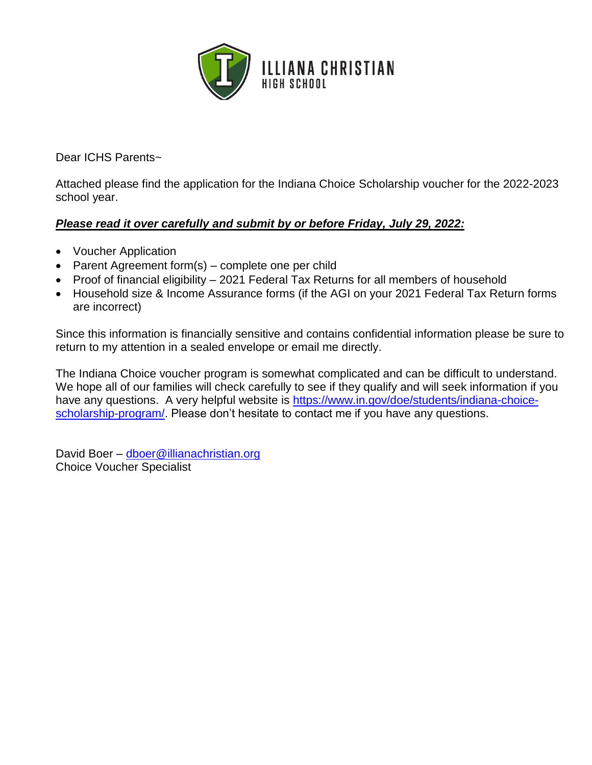

Dear ICHS Parents~

Attached please find the application for the Indiana Choice Scholarship voucher for the 2022-2023 school year.

#### *Please read it over carefully and submit by or before Friday, July 29, 2022:*

- Voucher Application
- Parent Agreement form(s) complete one per child
- Proof of financial eligibility 2021 Federal Tax Returns for all members of household
- Household size & Income Assurance forms (if the AGI on your 2021 Federal Tax Return forms are incorrect)

Since this information is financially sensitive and contains confidential information please be sure to return to my attention in a sealed envelope or email me directly.

The Indiana Choice voucher program is somewhat complicated and can be difficult to understand. We hope all of our families will check carefully to see if they qualify and will seek information if you have any questions. A very helpful website is [https://www.in.gov/doe/students/indiana-choice](https://www.in.gov/doe/students/indiana-choice-scholarship-program/)[scholarship-program/.](https://www.in.gov/doe/students/indiana-choice-scholarship-program/) Please don't hesitate to contact me if you have any questions.

David Boer – [dboer@illianachristian.org](mailto:dboer@illianachristian.org) Choice Voucher Specialist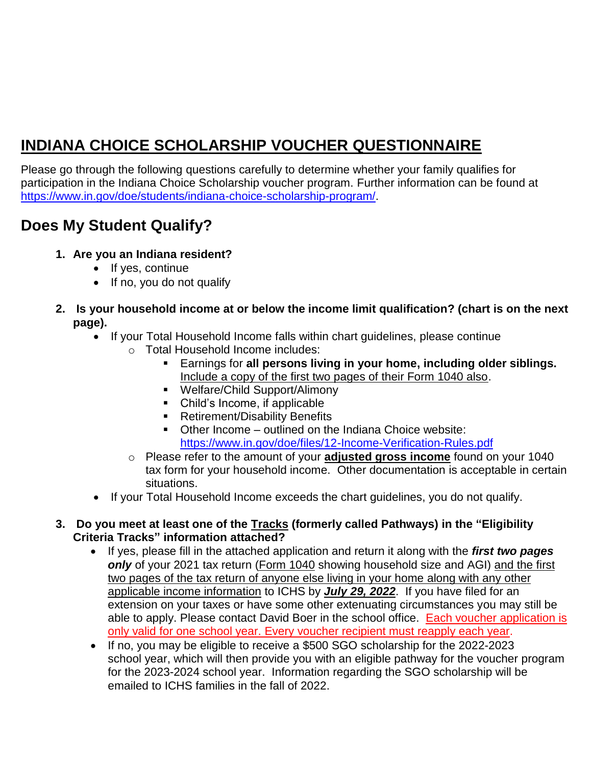## **INDIANA CHOICE SCHOLARSHIP VOUCHER QUESTIONNAIRE**

Please go through the following questions carefully to determine whether your family qualifies for participation in the Indiana Choice Scholarship voucher program. Further information can be found at [https://www.in.gov/doe/students/indiana-choice-scholarship-program/.](https://www.in.gov/doe/students/indiana-choice-scholarship-program/)

### **Does My Student Qualify?**

- **1. Are you an Indiana resident?**
	- If yes, continue
	- If no, you do not qualify
- **2. Is your household income at or below the income limit qualification? (chart is on the next page).**
	- If your Total Household Income falls within chart guidelines, please continue
		- o Total Household Income includes:
			- Earnings for **all persons living in your home, including older siblings.**  Include a copy of the first two pages of their Form 1040 also.
			- Welfare/Child Support/Alimony
			- Child's Income, if applicable
			- Retirement/Disability Benefits
			- Other Income outlined on the Indiana Choice website: <https://www.in.gov/doe/files/12-Income-Verification-Rules.pdf>
		- o Please refer to the amount of your **adjusted gross income** found on your 1040 tax form for your household income. Other documentation is acceptable in certain situations.
	- If your Total Household Income exceeds the chart guidelines, you do not qualify.

#### **3. Do you meet at least one of the Tracks (formerly called Pathways) in the "Eligibility Criteria Tracks" information attached?**

- If yes, please fill in the attached application and return it along with the *first two pages only* of your 2021 tax return (Form 1040 showing household size and AGI) and the first two pages of the tax return of anyone else living in your home along with any other applicable income information to ICHS by *July 29, 2022*. If you have filed for an extension on your taxes or have some other extenuating circumstances you may still be able to apply. Please contact David Boer in the school office. Each voucher application is only valid for one school year. Every voucher recipient must reapply each year.
- If no, you may be eligible to receive a \$500 SGO scholarship for the 2022-2023 school year, which will then provide you with an eligible pathway for the voucher program for the 2023-2024 school year. Information regarding the SGO scholarship will be emailed to ICHS families in the fall of 2022.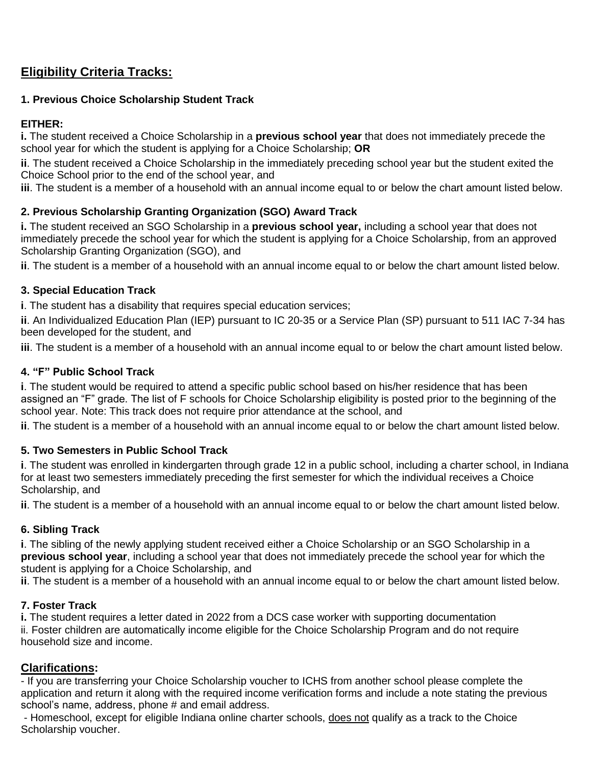#### **Eligibility Criteria Tracks:**

#### **1. Previous Choice Scholarship Student Track**

#### **EITHER:**

**i.** The student received a Choice Scholarship in a **previous school year** that does not immediately precede the school year for which the student is applying for a Choice Scholarship; **OR**

**ii**. The student received a Choice Scholarship in the immediately preceding school year but the student exited the Choice School prior to the end of the school year, and

**iii**. The student is a member of a household with an annual income equal to or below the chart amount listed below.

#### **2. Previous Scholarship Granting Organization (SGO) Award Track**

**i.** The student received an SGO Scholarship in a **previous school year,** including a school year that does not immediately precede the school year for which the student is applying for a Choice Scholarship, from an approved Scholarship Granting Organization (SGO), and

**ii**. The student is a member of a household with an annual income equal to or below the chart amount listed below.

#### **3. Special Education Track**

**i**. The student has a disability that requires special education services;

**ii**. An Individualized Education Plan (IEP) pursuant to IC 20-35 or a Service Plan (SP) pursuant to 511 IAC 7-34 has been developed for the student, and

**iii**. The student is a member of a household with an annual income equal to or below the chart amount listed below.

#### **4. "F" Public School Track**

**i**. The student would be required to attend a specific public school based on his/her residence that has been assigned an "F" grade. The list of F schools for Choice Scholarship eligibility is posted prior to the beginning of the school year. Note: This track does not require prior attendance at the school, and

**ii**. The student is a member of a household with an annual income equal to or below the chart amount listed below.

#### **5. Two Semesters in Public School Track**

**i**. The student was enrolled in kindergarten through grade 12 in a public school, including a charter school, in Indiana for at least two semesters immediately preceding the first semester for which the individual receives a Choice Scholarship, and

**ii**. The student is a member of a household with an annual income equal to or below the chart amount listed below.

#### **6. Sibling Track**

**i**. The sibling of the newly applying student received either a Choice Scholarship or an SGO Scholarship in a **previous school year**, including a school year that does not immediately precede the school year for which the student is applying for a Choice Scholarship, and

**ii**. The student is a member of a household with an annual income equal to or below the chart amount listed below.

#### **7. Foster Track**

**i.** The student requires a letter dated in 2022 from a DCS case worker with supporting documentation ii. Foster children are automatically income eligible for the Choice Scholarship Program and do not require household size and income.

#### **Clarifications:**

- If you are transferring your Choice Scholarship voucher to ICHS from another school please complete the application and return it along with the required income verification forms and include a note stating the previous school's name, address, phone # and email address.

- Homeschool, except for eligible Indiana online charter schools, does not qualify as a track to the Choice Scholarship voucher.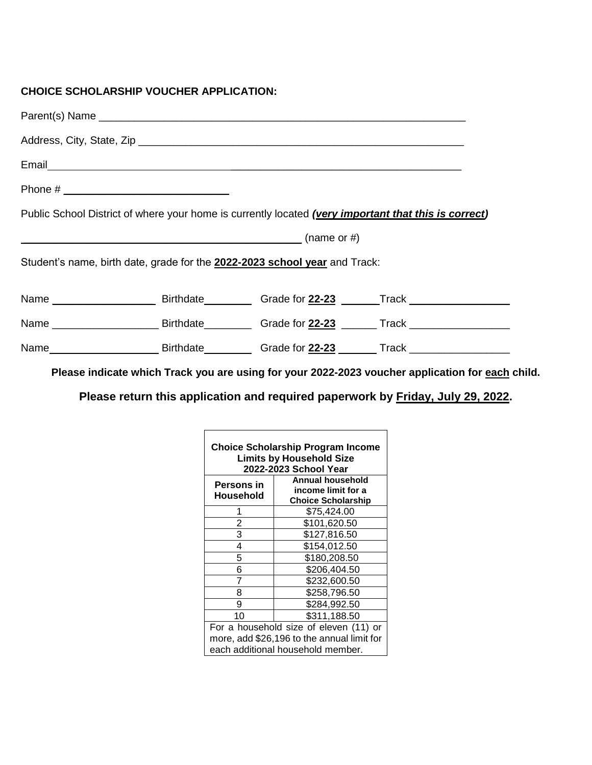#### **CHOICE SCHOLARSHIP VOUCHER APPLICATION:**

| Phone # $\_$                                                                                         |  |             |  |  |  |
|------------------------------------------------------------------------------------------------------|--|-------------|--|--|--|
| Public School District of where your home is currently located (very important that this is correct) |  |             |  |  |  |
|                                                                                                      |  | (name or #) |  |  |  |
| Student's name, birth date, grade for the 2022-2023 school year and Track:                           |  |             |  |  |  |
|                                                                                                      |  |             |  |  |  |
|                                                                                                      |  |             |  |  |  |
|                                                                                                      |  |             |  |  |  |

**Please indicate which Track you are using for your 2022-2023 voucher application for each child.**

**Please return this application and required paperwork by Friday, July 29, 2022.**

| Choice Scholarship Program Income<br><b>Limits by Household Size</b><br>2022-2023 School Year |                                                                     |  |  |  |
|-----------------------------------------------------------------------------------------------|---------------------------------------------------------------------|--|--|--|
| Persons in<br>Household                                                                       | Annual household<br>income limit for a<br><b>Choice Scholarship</b> |  |  |  |
|                                                                                               | \$75,424.00                                                         |  |  |  |
| 2                                                                                             | \$101,620.50                                                        |  |  |  |
| 3                                                                                             | \$127,816.50                                                        |  |  |  |
| 4                                                                                             | \$154,012.50                                                        |  |  |  |
| 5                                                                                             | \$180,208.50                                                        |  |  |  |
| 6                                                                                             | \$206,404.50                                                        |  |  |  |
| 7                                                                                             | \$232,600.50                                                        |  |  |  |
| 8                                                                                             | \$258,796.50                                                        |  |  |  |
| 9                                                                                             | \$284,992.50                                                        |  |  |  |
| 10                                                                                            | \$311,188.50                                                        |  |  |  |
| For a household size of eleven (11) or                                                        |                                                                     |  |  |  |
| more, add \$26,196 to the annual limit for                                                    |                                                                     |  |  |  |
| each additional household member.                                                             |                                                                     |  |  |  |